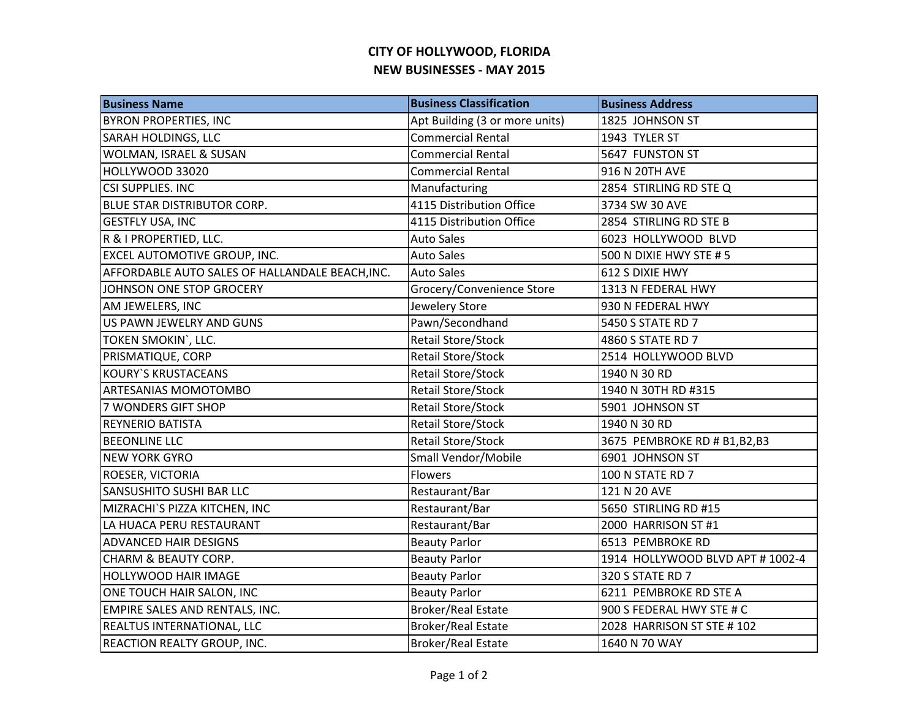## **CITY OF HOLLYWOOD, FLORIDA NEW BUSINESSES - MAY 2015**

| <b>Business Name</b>                            | <b>Business Classification</b> | <b>Business Address</b>         |
|-------------------------------------------------|--------------------------------|---------------------------------|
| <b>BYRON PROPERTIES, INC</b>                    | Apt Building (3 or more units) | 1825 JOHNSON ST                 |
| <b>SARAH HOLDINGS, LLC</b>                      | <b>Commercial Rental</b>       | 1943 TYLER ST                   |
| WOLMAN, ISRAEL & SUSAN                          | <b>Commercial Rental</b>       | 5647 FUNSTON ST                 |
| HOLLYWOOD 33020                                 | <b>Commercial Rental</b>       | 916 N 20TH AVE                  |
| CSI SUPPLIES. INC                               | Manufacturing                  | 2854 STIRLING RD STE Q          |
| <b>BLUE STAR DISTRIBUTOR CORP.</b>              | 4115 Distribution Office       | 3734 SW 30 AVE                  |
| <b>GESTFLY USA, INC</b>                         | 4115 Distribution Office       | 2854 STIRLING RD STE B          |
| R & I PROPERTIED, LLC.                          | <b>Auto Sales</b>              | 6023 HOLLYWOOD BLVD             |
| <b>EXCEL AUTOMOTIVE GROUP, INC.</b>             | <b>Auto Sales</b>              | 500 N DIXIE HWY STE #5          |
| AFFORDABLE AUTO SALES OF HALLANDALE BEACH, INC. | <b>Auto Sales</b>              | 612 S DIXIE HWY                 |
| JOHNSON ONE STOP GROCERY                        | Grocery/Convenience Store      | 1313 N FEDERAL HWY              |
| AM JEWELERS, INC                                | Jewelery Store                 | 930 N FEDERAL HWY               |
| US PAWN JEWELRY AND GUNS                        | Pawn/Secondhand                | 5450 S STATE RD 7               |
| TOKEN SMOKIN', LLC.                             | <b>Retail Store/Stock</b>      | 4860 S STATE RD 7               |
| PRISMATIQUE, CORP                               | Retail Store/Stock             | 2514 HOLLYWOOD BLVD             |
| <b>KOURY'S KRUSTACEANS</b>                      | Retail Store/Stock             | 1940 N 30 RD                    |
| <b>ARTESANIAS MOMOTOMBO</b>                     | <b>Retail Store/Stock</b>      | 1940 N 30TH RD #315             |
| <b>7 WONDERS GIFT SHOP</b>                      | Retail Store/Stock             | 5901 JOHNSON ST                 |
| <b>REYNERIO BATISTA</b>                         | <b>Retail Store/Stock</b>      | 1940 N 30 RD                    |
| <b>BEEONLINE LLC</b>                            | <b>Retail Store/Stock</b>      | 3675 PEMBROKE RD # B1,B2,B3     |
| <b>NEW YORK GYRO</b>                            | Small Vendor/Mobile            | 6901 JOHNSON ST                 |
| <b>ROESER, VICTORIA</b>                         | Flowers                        | 100 N STATE RD 7                |
| <b>SANSUSHITO SUSHI BAR LLC</b>                 | Restaurant/Bar                 | 121 N 20 AVE                    |
| MIZRACHI`S PIZZA KITCHEN, INC                   | Restaurant/Bar                 | 5650 STIRLING RD #15            |
| LA HUACA PERU RESTAURANT                        | Restaurant/Bar                 | 2000 HARRISON ST #1             |
| <b>ADVANCED HAIR DESIGNS</b>                    | <b>Beauty Parlor</b>           | 6513 PEMBROKE RD                |
| <b>CHARM &amp; BEAUTY CORP.</b>                 | <b>Beauty Parlor</b>           | 1914 HOLLYWOOD BLVD APT #1002-4 |
| <b>HOLLYWOOD HAIR IMAGE</b>                     | <b>Beauty Parlor</b>           | 320 S STATE RD 7                |
| ONE TOUCH HAIR SALON, INC                       | <b>Beauty Parlor</b>           | 6211 PEMBROKE RD STE A          |
| EMPIRE SALES AND RENTALS, INC.                  | <b>Broker/Real Estate</b>      | 900 S FEDERAL HWY STE # C       |
| <b>REALTUS INTERNATIONAL, LLC</b>               | <b>Broker/Real Estate</b>      | 2028 HARRISON ST STE # 102      |
| <b>REACTION REALTY GROUP, INC.</b>              | <b>Broker/Real Estate</b>      | 1640 N 70 WAY                   |